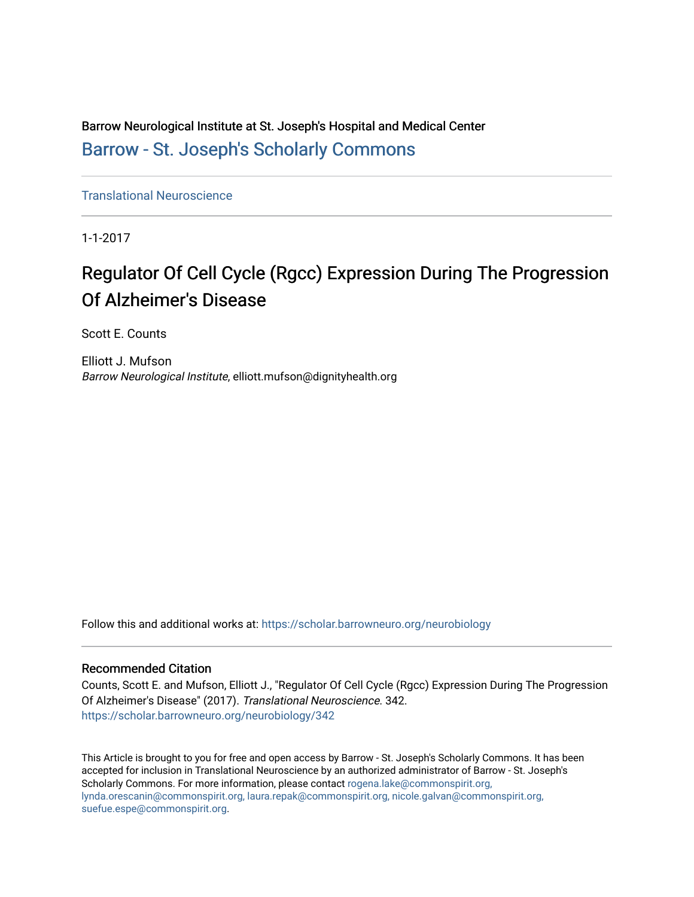Barrow Neurological Institute at St. Joseph's Hospital and Medical Center [Barrow - St. Joseph's Scholarly Commons](https://scholar.barrowneuro.org/) 

[Translational Neuroscience](https://scholar.barrowneuro.org/neurobiology)

1-1-2017

# Regulator Of Cell Cycle (Rgcc) Expression During The Progression Of Alzheimer's Disease

Scott E. Counts

Elliott J. Mufson Barrow Neurological Institute, elliott.mufson@dignityhealth.org

Follow this and additional works at: [https://scholar.barrowneuro.org/neurobiology](https://scholar.barrowneuro.org/neurobiology?utm_source=scholar.barrowneuro.org%2Fneurobiology%2F342&utm_medium=PDF&utm_campaign=PDFCoverPages)

# Recommended Citation

Counts, Scott E. and Mufson, Elliott J., "Regulator Of Cell Cycle (Rgcc) Expression During The Progression Of Alzheimer's Disease" (2017). Translational Neuroscience. 342. [https://scholar.barrowneuro.org/neurobiology/342](https://scholar.barrowneuro.org/neurobiology/342?utm_source=scholar.barrowneuro.org%2Fneurobiology%2F342&utm_medium=PDF&utm_campaign=PDFCoverPages)

This Article is brought to you for free and open access by Barrow - St. Joseph's Scholarly Commons. It has been accepted for inclusion in Translational Neuroscience by an authorized administrator of Barrow - St. Joseph's Scholarly Commons. For more information, please contact [rogena.lake@commonspirit.org,](mailto:rogena.lake@commonspirit.org,%20lynda.orescanin@commonspirit.org,%20laura.repak@commonspirit.org,%20nicole.galvan@commonspirit.org,%20suefue.espe@commonspirit.org) [lynda.orescanin@commonspirit.org, laura.repak@commonspirit.org, nicole.galvan@commonspirit.org,](mailto:rogena.lake@commonspirit.org,%20lynda.orescanin@commonspirit.org,%20laura.repak@commonspirit.org,%20nicole.galvan@commonspirit.org,%20suefue.espe@commonspirit.org)  [suefue.espe@commonspirit.org](mailto:rogena.lake@commonspirit.org,%20lynda.orescanin@commonspirit.org,%20laura.repak@commonspirit.org,%20nicole.galvan@commonspirit.org,%20suefue.espe@commonspirit.org).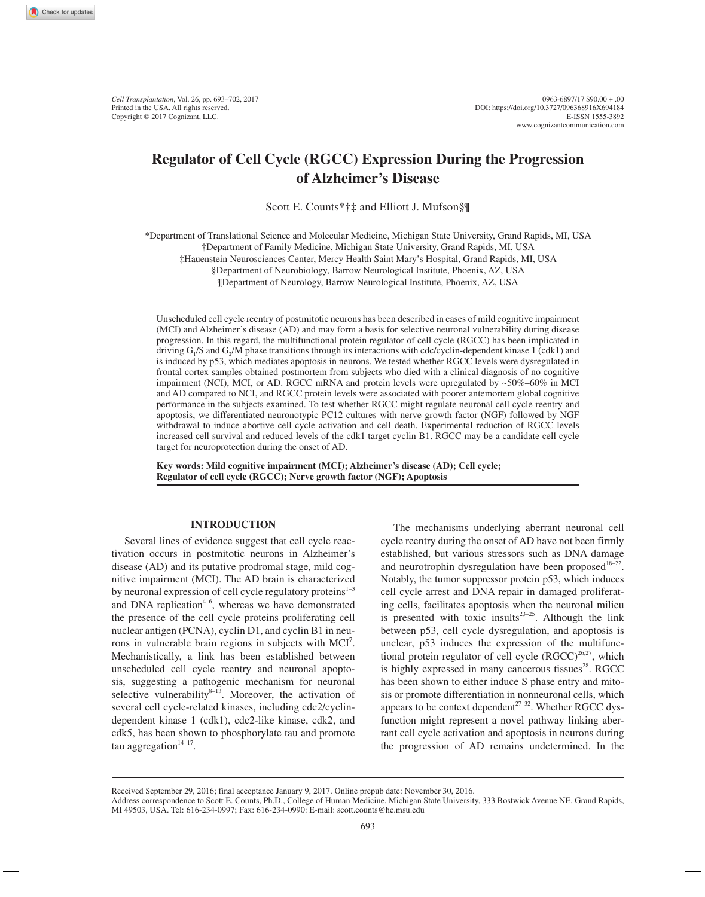# **Regulator of Cell Cycle (RGCC) Expression During the Progression of Alzheimer's Disease**

Scott E. Counts\*†‡ and Elliott J. Mufson§¶

\*Department of Translational Science and Molecular Medicine, Michigan State University, Grand Rapids, MI, USA †Department of Family Medicine, Michigan State University, Grand Rapids, MI, USA ‡Hauenstein Neurosciences Center, Mercy Health Saint Mary's Hospital, Grand Rapids, MI, USA

§Department of Neurobiology, Barrow Neurological Institute, Phoenix, AZ, USA

¶Department of Neurology, Barrow Neurological Institute, Phoenix, AZ, USA

Unscheduled cell cycle reentry of postmitotic neurons has been described in cases of mild cognitive impairment (MCI) and Alzheimer's disease (AD) and may form a basis for selective neuronal vulnerability during disease progression. In this regard, the multifunctional protein regulator of cell cycle (RGCC) has been implicated in driving  $G_1/S$  and  $G_2/M$  phase transitions through its interactions with cdc/cyclin-dependent kinase 1 (cdk1) and is induced by p53, which mediates apoptosis in neurons. We tested whether RGCC levels were dysregulated in frontal cortex samples obtained postmortem from subjects who died with a clinical diagnosis of no cognitive impairment (NCI), MCI, or AD. RGCC mRNA and protein levels were upregulated by  $\sim 50\% - 60\%$  in MCI and AD compared to NCI, and RGCC protein levels were associated with poorer antemortem global cognitive performance in the subjects examined. To test whether RGCC might regulate neuronal cell cycle reentry and apoptosis, we differentiated neuronotypic PC12 cultures with nerve growth factor (NGF) followed by NGF withdrawal to induce abortive cell cycle activation and cell death. Experimental reduction of RGCC levels increased cell survival and reduced levels of the cdk1 target cyclin B1. RGCC may be a candidate cell cycle target for neuroprotection during the onset of AD.

**Key words: Mild cognitive impairment (MCI); Alzheimer's disease (AD); Cell cycle; Regulator of cell cycle (RGCC); Nerve growth factor (NGF); Apoptosis**

# **INTRODUCTION**

Several lines of evidence suggest that cell cycle reactivation occurs in postmitotic neurons in Alzheimer's disease (AD) and its putative prodromal stage, mild cognitive impairment (MCI). The AD brain is characterized by neuronal expression of cell cycle regulatory proteins $1-3$ and DNA replication $4-6$ , whereas we have demonstrated the presence of the cell cycle proteins proliferating cell nuclear antigen (PCNA), cyclin D1, and cyclin B1 in neurons in vulnerable brain regions in subjects with MCI<sup>7</sup>. Mechanistically, a link has been established between unscheduled cell cycle reentry and neuronal apoptosis, suggesting a pathogenic mechanism for neuronal selective vulnerability $8-13$ . Moreover, the activation of several cell cycle-related kinases, including cdc2/cyclindependent kinase 1 (cdk1), cdc2-like kinase, cdk2, and cdk5, has been shown to phosphorylate tau and promote tau aggregation $14-17$ .

The mechanisms underlying aberrant neuronal cell cycle reentry during the onset of AD have not been firmly established, but various stressors such as DNA damage and neurotrophin dysregulation have been proposed<sup>18–22</sup>. Notably, the tumor suppressor protein p53, which induces cell cycle arrest and DNA repair in damaged proliferating cells, facilitates apoptosis when the neuronal milieu is presented with toxic insults $23-25$ . Although the link between p53, cell cycle dysregulation, and apoptosis is unclear, p53 induces the expression of the multifunctional protein regulator of cell cycle  $(RGCC)^{26,27}$ , which is highly expressed in many cancerous tissues $28$ . RGCC has been shown to either induce S phase entry and mitosis or promote differentiation in nonneuronal cells, which appears to be context dependent<sup> $27-32$ </sup>. Whether RGCC dysfunction might represent a novel pathway linking aberrant cell cycle activation and apoptosis in neurons during the progression of AD remains undetermined. In the

Received September 29, 2016; final acceptance January 9, 2017. Online prepub date: November 30, 2016.

Address correspondence to Scott E. Counts, Ph.D., College of Human Medicine, Michigan State University, 333 Bostwick Avenue NE, Grand Rapids, MI 49503, USA. Tel: 616-234-0997; Fax: 616-234-0990: E-mail: scott.counts@hc.msu.edu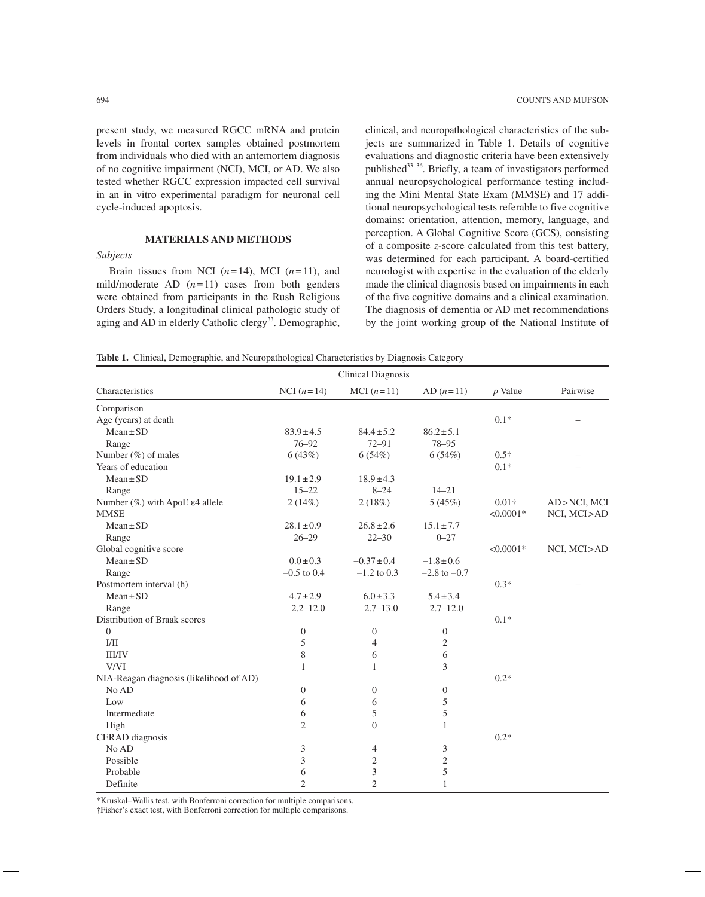present study, we measured RGCC mRNA and protein levels in frontal cortex samples obtained postmortem from individuals who died with an antemortem diagnosis of no cognitive impairment (NCI), MCI, or AD. We also tested whether RGCC expression impacted cell survival in an in vitro experimental paradigm for neuronal cell cycle-induced apoptosis.

#### **MATERIALS AND METHODS**

## *Subjects*

Brain tissues from NCI  $(n=14)$ , MCI  $(n=11)$ , and mild/moderate AD  $(n=11)$  cases from both genders were obtained from participants in the Rush Religious Orders Study, a longitudinal clinical pathologic study of aging and AD in elderly Catholic clergy<sup>33</sup>. Demographic,

clinical, and neuropathological characteristics of the subjects are summarized in Table 1. Details of cognitive evaluations and diagnostic criteria have been extensively published33–36. Briefly, a team of investigators performed annual neuropsychological performance testing including the Mini Mental State Exam (MMSE) and 17 additional neuropsychological tests referable to five cognitive domains: orientation, attention, memory, language, and perception. A Global Cognitive Score (GCS), consisting of a composite *z*-score calculated from this test battery, was determined for each participant. A board-certified neurologist with expertise in the evaluation of the elderly made the clinical diagnosis based on impairments in each of the five cognitive domains and a clinical examination. The diagnosis of dementia or AD met recommendations by the joint working group of the National Institute of

**Table 1.** Clinical, Demographic, and Neuropathological Characteristics by Diagnosis Category

| Characteristics                             | <b>Clinical Diagnosis</b> |                             |                  |               |             |
|---------------------------------------------|---------------------------|-----------------------------|------------------|---------------|-------------|
|                                             | NCI $(n=14)$              | MCI $(n=11)$                | $AD (n=11)$      | $p$ Value     | Pairwise    |
| Comparison                                  |                           |                             |                  |               |             |
| Age (years) at death                        |                           |                             |                  | $0.1*$        |             |
| $Mean \pm SD$                               | $83.9 \pm 4.5$            | $84.4 \pm 5.2$              | $86.2 \pm 5.1$   |               |             |
| Range                                       | $76 - 92$                 | $72 - 91$                   | 78-95            |               |             |
| Number (%) of males                         | 6(43%)                    | 6(54%)                      | 6(54%)           | $0.5\dagger$  |             |
| Years of education                          |                           |                             |                  | $0.1*$        |             |
| $Mean \pm SD$                               | $19.1 \pm 2.9$            | $18.9 \pm 4.3$              |                  |               |             |
| Range                                       | $15 - 22$                 | $8 - 24$                    | $14 - 21$        |               |             |
| Number $(\%)$ with ApoE $\epsilon$ 4 allele | 2(14%)                    | 2(18%)                      | 5(45%)           | $0.01\dagger$ | AD>NCI, MCI |
| <b>MMSE</b>                                 |                           |                             |                  | $< 0.0001*$   | NCI, MCI>AD |
| $Mean \pm SD$                               | $28.1 \pm 0.9$            | $26.8 \pm 2.6$              | $15.1 \pm 7.7$   |               |             |
| Range                                       | $26 - 29$                 | $22 - 30$                   | $0 - 27$         |               |             |
| Global cognitive score                      |                           |                             |                  | $< 0.0001*$   | NCI, MCI>AD |
| $Mean \pm SD$                               | $0.0 \pm 0.3$             | $-0.37 \pm 0.4$             | $-1.8 \pm 0.6$   |               |             |
| Range                                       | $-0.5$ to 0.4             | $-1.2$ to 0.3               | $-2.8$ to $-0.7$ |               |             |
| Postmortem interval (h)                     |                           |                             |                  | $0.3*$        |             |
| $Mean \pm SD$                               | $4.7 \pm 2.9$             | $6.0 \pm 3.3$               | $5.4 \pm 3.4$    |               |             |
| Range                                       | $2.2 - 12.0$              | $2.7 - 13.0$                | $2.7 - 12.0$     |               |             |
| Distribution of Braak scores                |                           |                             |                  | $0.1*$        |             |
| $\overline{0}$                              | $\mathbf{0}$              | $\boldsymbol{0}$            | $\boldsymbol{0}$ |               |             |
| I/II                                        | 5                         | $\overline{4}$              | $\mathfrak{2}$   |               |             |
| <b>III/IV</b>                               | $\,$ 8 $\,$               | 6                           | 6                |               |             |
| V/VI                                        | $\mathbf{1}$              | 1                           | 3                |               |             |
| NIA-Reagan diagnosis (likelihood of AD)     |                           |                             |                  | $0.2*$        |             |
| No AD                                       | $\boldsymbol{0}$          | $\mathbf{0}$                | $\overline{0}$   |               |             |
| Low                                         | 6                         | 6                           | 5                |               |             |
| Intermediate                                | 6                         | 5                           | 5                |               |             |
| High                                        | $\overline{2}$            | $\overline{0}$              | 1                |               |             |
| <b>CERAD</b> diagnosis                      |                           |                             |                  | $0.2*$        |             |
| No AD                                       | 3                         | $\overline{4}$              | 3                |               |             |
| Possible                                    | 3                         | 2                           | $\sqrt{2}$       |               |             |
| Probable                                    | 6                         | $\ensuremath{\mathfrak{Z}}$ | 5                |               |             |
| Definite                                    | $\overline{2}$            | $\mathfrak{2}$              | $\mathbf{1}$     |               |             |

\*Kruskal–Wallis test, with Bonferroni correction for multiple comparisons.

†Fisher's exact test, with Bonferroni correction for multiple comparisons.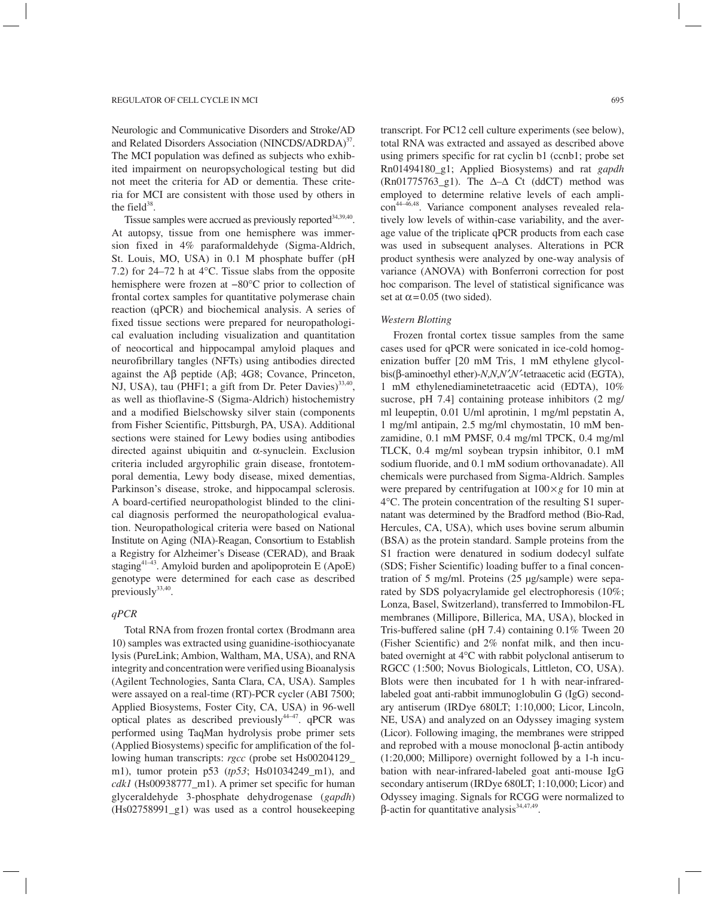Neurologic and Communicative Disorders and Stroke/AD and Related Disorders Association (NINCDS/ADRDA)<sup>37</sup>. The MCI population was defined as subjects who exhibited impairment on neuropsychological testing but did not meet the criteria for AD or dementia. These criteria for MCI are consistent with those used by others in the field $38$ .

Tissue samples were accrued as previously reported<sup>34,39,40</sup>. At autopsy, tissue from one hemisphere was immersion fixed in 4% paraformaldehyde (Sigma-Aldrich, St. Louis, MO, USA) in 0.1 M phosphate buffer (pH 7.2) for 24–72 h at 4°C. Tissue slabs from the opposite hemisphere were frozen at −80°C prior to collection of frontal cortex samples for quantitative polymerase chain reaction (qPCR) and biochemical analysis. A series of fixed tissue sections were prepared for neuropathological evaluation including visualization and quantitation of neocortical and hippocampal amyloid plaques and neurofibrillary tangles (NFTs) using antibodies directed against the  $\overrightarrow{AB}$  peptide ( $\overrightarrow{AB}$ ; 4G8; Covance, Princeton, NJ, USA), tau (PHF1; a gift from Dr. Peter Davies)<sup>33,40</sup>, as well as thioflavine-S (Sigma-Aldrich) histochemistry and a modified Bielschowsky silver stain (components from Fisher Scientific, Pittsburgh, PA, USA). Additional sections were stained for Lewy bodies using antibodies directed against ubiquitin and  $\alpha$ -synuclein. Exclusion criteria included argyrophilic grain disease, frontotemporal dementia, Lewy body disease, mixed dementias, Parkinson's disease, stroke, and hippocampal sclerosis. A board-certified neuropathologist blinded to the clinical diagnosis performed the neuropathological evaluation. Neuropathological criteria were based on National Institute on Aging (NIA)-Reagan, Consortium to Establish a Registry for Alzheimer's Disease (CERAD), and Braak staging<sup>41–43</sup>. Amyloid burden and apolipoprotein E (ApoE) genotype were determined for each case as described previously $33,40$ .

#### *qPCR*

Total RNA from frozen frontal cortex (Brodmann area 10) samples was extracted using guanidine-isothiocyanate lysis (PureLink; Ambion, Waltham, MA, USA), and RNA integrity and concentration were verified using Bioanalysis (Agilent Technologies, Santa Clara, CA, USA). Samples were assayed on a real-time (RT)-PCR cycler (ABI 7500; Applied Biosystems, Foster City, CA, USA) in 96-well optical plates as described previously  $44-47$ . qPCR was performed using TaqMan hydrolysis probe primer sets (Applied Biosystems) specific for amplification of the following human transcripts: *rgcc* (probe set Hs00204129\_ m1), tumor protein p53 (*tp53*; Hs01034249\_m1), and *cdk1* (Hs00938777\_m1). A primer set specific for human glyceraldehyde 3-phosphate dehydrogenase (*gapdh*) (Hs02758991\_g1) was used as a control housekeeping transcript. For PC12 cell culture experiments (see below), total RNA was extracted and assayed as described above using primers specific for rat cyclin b1 (ccnb1; probe set Rn01494180\_g1; Applied Biosystems) and rat *gapdh* (Rn01775763 g1). The  $\Delta-\Delta$  Ct (ddCT) method was employed to determine relative levels of each amplicon44–46,48. Variance component analyses revealed relatively low levels of within-case variability, and the average value of the triplicate qPCR products from each case was used in subsequent analyses. Alterations in PCR product synthesis were analyzed by one-way analysis of variance (ANOVA) with Bonferroni correction for post hoc comparison. The level of statistical significance was set at  $\alpha$  = 0.05 (two sided).

#### *Western Blotting*

Frozen frontal cortex tissue samples from the same cases used for qPCR were sonicated in ice-cold homogenization buffer [20 mM Tris, 1 mM ethylene glycolbis(b-aminoethyl ether)-*N*,*N*,*N′*,*N′*-tetraacetic acid (EGTA), 1 mM ethylenediaminetetraacetic acid (EDTA), 10% sucrose, pH 7.4] containing protease inhibitors (2 mg/ ml leupeptin, 0.01 U/ml aprotinin, 1 mg/ml pepstatin A, 1 mg/ml antipain, 2.5 mg/ml chymostatin, 10 mM benzamidine, 0.1 mM PMSF, 0.4 mg/ml TPCK, 0.4 mg/ml TLCK, 0.4 mg/ml soybean trypsin inhibitor, 0.1 mM sodium fluoride, and 0.1 mM sodium orthovanadate). All chemicals were purchased from Sigma-Aldrich. Samples were prepared by centrifugation at  $100 \times g$  for 10 min at 4°C. The protein concentration of the resulting S1 supernatant was determined by the Bradford method (Bio-Rad, Hercules, CA, USA), which uses bovine serum albumin (BSA) as the protein standard. Sample proteins from the S1 fraction were denatured in sodium dodecyl sulfate (SDS; Fisher Scientific) loading buffer to a final concentration of 5 mg/ml. Proteins (25 µg/sample) were separated by SDS polyacrylamide gel electrophoresis (10%; Lonza, Basel, Switzerland), transferred to Immobilon-FL membranes (Millipore, Billerica, MA, USA), blocked in Tris-buffered saline (pH 7.4) containing 0.1% Tween 20 (Fisher Scientific) and 2% nonfat milk, and then incubated overnight at 4°C with rabbit polyclonal antiserum to RGCC (1:500; Novus Biologicals, Littleton, CO, USA). Blots were then incubated for 1 h with near-infraredlabeled goat anti-rabbit immunoglobulin G (IgG) secondary antiserum (IRDye 680LT; 1:10,000; Licor, Lincoln, NE, USA) and analyzed on an Odyssey imaging system (Licor). Following imaging, the membranes were stripped and reprobed with a mouse monoclonal  $\beta$ -actin antibody (1:20,000; Millipore) overnight followed by a 1-h incubation with near-infrared-labeled goat anti-mouse IgG secondary antiserum (IRDye 680LT; 1:10,000; Licor) and Odyssey imaging. Signals for RCGG were normalized to  $\beta$ -actin for quantitative analysis<sup>34,47,49</sup>.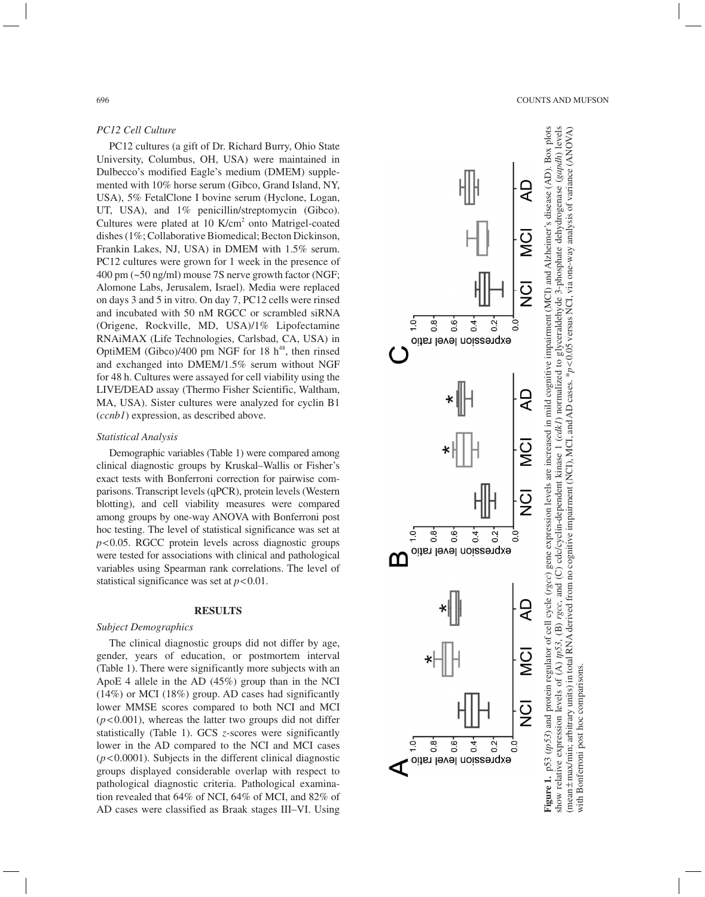#### *PC12 Cell Culture*

PC12 cultures (a gift of Dr. Richard Burry, Ohio State University, Columbus, OH, USA) were maintained in Dulbecco's modified Eagle's medium (DMEM) supple mented with 10% horse serum (Gibco, Grand Island, NY, USA), 5% FetalClone I bovine serum (Hyclone, Logan, UT, USA), and  $1\%$  penicillin/streptomycin (Gibco). Cultures were plated at 10 K/cm<sup>2</sup> onto Matrigel-coated dishes (1%; Collaborative Biomedical; Becton Dickinson, Frankin Lakes, NJ, USA) in DMEM with 1.5% serum. PC12 cultures were grown for 1 week in the presence of 400 pm (~50 ng/ml) mouse 7S nerve growth factor (NGF; Alomone Labs, Jerusalem, Israel). Media were replaced on days 3 and 5 in vitro. On day 7, PC12 cells were rinsed and incubated with 50 nM RGCC or scrambled siRNA (Origene, Rockville, MD, USA)/1% Lipofectamine RNAiMAX (Life Technologies, Carlsbad, CA, USA) in OptiMEM (Gibco)/400 pm NGF for 18  $h^{48}$ , then rinsed and exchanged into DMEM/1.5% serum without NGF for 48 h. Cultures were assayed for cell viability using the LIVE/DEAD assay (Thermo Fisher Scientific, Waltham, MA, USA). Sister cultures were analyzed for cyclin B1 (*ccnb1*) expression, as described above.

#### *Statistical Analysis*

Demographic variables (Table 1) were compared among clinical diagnostic groups by Kruskal–Wallis or Fisher's exact tests with Bonferroni correction for pairwise com parisons. Transcript levels (qPCR), protein levels (Western blotting), and cell viability measures were compared among groups by one-way ANOVA with Bonferroni post hoc testing. The level of statistical significance was set at *p*<0.05. RGCC protein levels across diagnostic groups were tested for associations with clinical and pathological variables using Spearman rank correlations. The level of statistical significance was set at  $p < 0.01$ .

#### **RESULTS**

#### *Subject Demographics*

The clinical diagnostic groups did not differ by age, gender, years of education, or postmortem interval (Table 1). There were significantly more subjects with an ApoE 4 allele in the AD (45%) group than in the NCI (14%) or MCI (18%) group. AD cases had significantly lower MMSE scores compared to both NCI and MCI  $(p<0.001)$ , whereas the latter two groups did not differ statistically (Table 1). GCS *z*-scores were significantly lower in the AD compared to the NCI and MCI cases  $(p<0.0001)$ . Subjects in the different clinical diagnostic groups displayed considerable overlap with respect to pathological diagnostic criteria. Pathological examina tion revealed that 64% of NCI, 64% of MCI, and 82% of AD cases were classified as Braak stages III–VI. Using



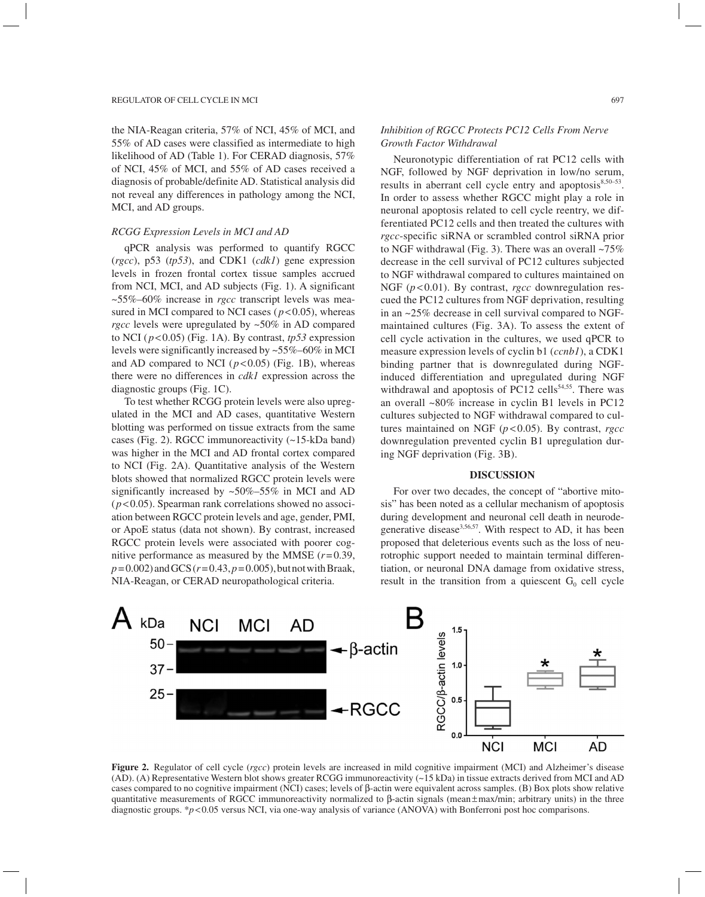the NIA-Reagan criteria, 57% of NCI, 45% of MCI, and 55% of AD cases were classified as intermediate to high likelihood of AD (Table 1). For CERAD diagnosis, 57% of NCI, 45% of MCI, and 55% of AD cases received a diagnosis of probable/definite AD. Statistical analysis did not reveal any differences in pathology among the NCI, MCI, and AD groups.

#### *RCGG Expression Levels in MCI and AD*

qPCR analysis was performed to quantify RGCC (*rgcc*), p53 (*tp53*), and CDK1 (*cdk1*) gene expression levels in frozen frontal cortex tissue samples accrued from NCI, MCI, and AD subjects (Fig. 1). A significant ~55%–60% increase in *rgcc* transcript levels was measured in MCI compared to NCI cases  $(p<0.05)$ , whereas *rgcc* levels were upregulated by ~50% in AD compared to NCI (*p*<0.05) (Fig. 1A). By contrast, *tp53* expression levels were significantly increased by ~55%–60% in MCI and AD compared to NCI  $(p<0.05)$  (Fig. 1B), whereas there were no differences in *cdk1* expression across the diagnostic groups (Fig. 1C).

To test whether RCGG protein levels were also upregulated in the MCI and AD cases, quantitative Western blotting was performed on tissue extracts from the same cases (Fig. 2). RGCC immunoreactivity (~15-kDa band) was higher in the MCI and AD frontal cortex compared to NCI (Fig. 2A). Quantitative analysis of the Western blots showed that normalized RGCC protein levels were significantly increased by ~50%–55% in MCI and AD  $(p<0.05)$ . Spearman rank correlations showed no association between RGCC protein levels and age, gender, PMI, or ApoE status (data not shown). By contrast, increased RGCC protein levels were associated with poorer cognitive performance as measured by the MMSE  $(r=0.39)$ , *p* = 0.002) and GCS (*r* = 0.43, *p* = 0.005), but not with Braak, NIA-Reagan, or CERAD neuropathological criteria.

## *Inhibition of RGCC Protects PC12 Cells From Nerve Growth Factor Withdrawal*

Neuronotypic differentiation of rat PC12 cells with NGF, followed by NGF deprivation in low/no serum, results in aberrant cell cycle entry and apoptosis $8,50-53$ . In order to assess whether RGCC might play a role in neuronal apoptosis related to cell cycle reentry, we differentiated PC12 cells and then treated the cultures with *rgcc*-specific siRNA or scrambled control siRNA prior to NGF withdrawal (Fig. 3). There was an overall ~75% decrease in the cell survival of PC12 cultures subjected to NGF withdrawal compared to cultures maintained on NGF (*p* < 0.01). By contrast, *rgcc* downregulation rescued the PC12 cultures from NGF deprivation, resulting in an ~25% decrease in cell survival compared to NGFmaintained cultures (Fig. 3A). To assess the extent of cell cycle activation in the cultures, we used qPCR to measure expression levels of cyclin b1 (*ccnb1*), a CDK1 binding partner that is downregulated during NGFinduced differentiation and upregulated during NGF withdrawal and apoptosis of PC12 cells<sup>54,55</sup>. There was an overall ~80% increase in cyclin B1 levels in PC12 cultures subjected to NGF withdrawal compared to cultures maintained on NGF (*p* < 0.05). By contrast, *rgcc*  downregulation prevented cyclin B1 upregulation during NGF deprivation (Fig. 3B).

#### **DISCUSSION**

For over two decades, the concept of "abortive mitosis" has been noted as a cellular mechanism of apoptosis during development and neuronal cell death in neurodegenerative disease<sup>3,56,57</sup>. With respect to AD, it has been proposed that deleterious events such as the loss of neurotrophic support needed to maintain terminal differentiation, or neuronal DNA damage from oxidative stress, result in the transition from a quiescent  $G_0$  cell cycle



**Figure 2.** Regulator of cell cycle (*rgcc*) protein levels are increased in mild cognitive impairment (MCI) and Alzheimer's disease (AD). (A) Representative Western blot shows greater RCGG immunoreactivity (~15 kDa) in tissue extracts derived from MCI and AD cases compared to no cognitive impairment (NCI) cases; levels of b-actin were equivalent across samples. (B) Box plots show relative quantitative measurements of RGCC immunoreactivity normalized to  $\beta$ -actin signals (mean $\pm$ max/min; arbitrary units) in the three diagnostic groups. \**p*<0.05 versus NCI, via one-way analysis of variance (ANOVA) with Bonferroni post hoc comparisons.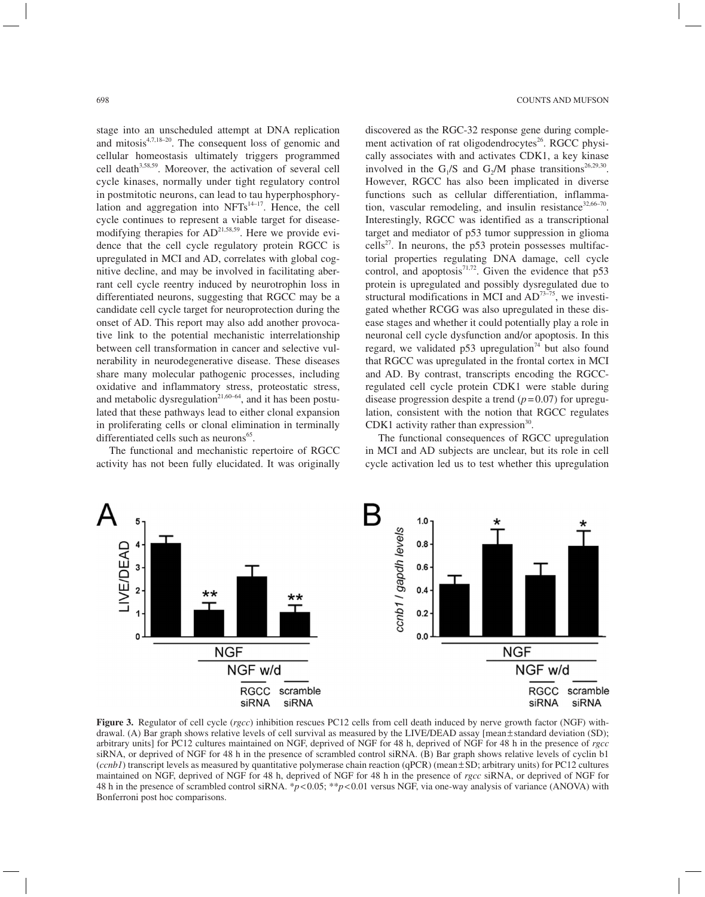stage into an unscheduled attempt at DNA replication and mitosis<sup>4,7,18-20</sup>. The consequent loss of genomic and cellular homeostasis ultimately triggers programmed cell death<sup>3,58,59</sup>. Moreover, the activation of several cell cycle kinases, normally under tight regulatory control in postmitotic neurons, can lead to tau hyperphosphorylation and aggregation into  $NFTs^{14-17}$ . Hence, the cell cycle continues to represent a viable target for diseasemodifying therapies for  $AD^{21,58,59}$ . Here we provide evidence that the cell cycle regulatory protein RGCC is upregulated in MCI and AD, correlates with global cognitive decline, and may be involved in facilitating aberrant cell cycle reentry induced by neurotrophin loss in differentiated neurons, suggesting that RGCC may be a candidate cell cycle target for neuroprotection during the onset of AD. This report may also add another provocative link to the potential mechanistic interrelationship between cell transformation in cancer and selective vulnerability in neurodegenerative disease. These diseases share many molecular pathogenic processes, including oxidative and inflammatory stress, proteostatic stress, and metabolic dysregulation<sup>21,60–64</sup>, and it has been postulated that these pathways lead to either clonal expansion in proliferating cells or clonal elimination in terminally differentiated cells such as neurons $<sup>65</sup>$ .</sup>

The functional and mechanistic repertoire of RGCC activity has not been fully elucidated. It was originally discovered as the RGC-32 response gene during complement activation of rat oligodendrocytes<sup>26</sup>. RGCC physically associates with and activates CDK1, a key kinase involved in the G<sub>1</sub>/S and G<sub>2</sub>/M phase transitions<sup>26,29,30</sup>. However, RGCC has also been implicated in diverse functions such as cellular differentiation, inflammation, vascular remodeling, and insulin resistance<sup>32,66-70</sup>. Interestingly, RGCC was identified as a transcriptional target and mediator of p53 tumor suppression in glioma cells<sup>27</sup>. In neurons, the p53 protein possesses multifactorial properties regulating DNA damage, cell cycle control, and apoptosis $7^{1,72}$ . Given the evidence that p53 protein is upregulated and possibly dysregulated due to structural modifications in MCI and  $AD^{73-75}$ , we investigated whether RCGG was also upregulated in these disease stages and whether it could potentially play a role in neuronal cell cycle dysfunction and/or apoptosis. In this regard, we validated  $p53$  upregulation<sup>74</sup> but also found that RGCC was upregulated in the frontal cortex in MCI and AD. By contrast, transcripts encoding the RGCCregulated cell cycle protein CDK1 were stable during disease progression despite a trend  $(p=0.07)$  for upregulation, consistent with the notion that RGCC regulates CDK1 activity rather than expression $30$ .

The functional consequences of RGCC upregulation in MCI and AD subjects are unclear, but its role in cell cycle activation led us to test whether this upregulation



**Figure 3.** Regulator of cell cycle (*rgcc*) inhibition rescues PC12 cells from cell death induced by nerve growth factor (NGF) withdrawal. (A) Bar graph shows relative levels of cell survival as measured by the LIVE/DEAD assay [mean±standard deviation (SD); arbitrary units] for PC12 cultures maintained on NGF, deprived of NGF for 48 h, deprived of NGF for 48 h in the presence of *rgcc*  siRNA, or deprived of NGF for 48 h in the presence of scrambled control siRNA. (B) Bar graph shows relative levels of cyclin b1 (*ccnb1*) transcript levels as measured by quantitative polymerase chain reaction (qPCR) (mean±SD; arbitrary units) for PC12 cultures maintained on NGF, deprived of NGF for 48 h, deprived of NGF for 48 h in the presence of *rgcc* siRNA, or deprived of NGF for 48 h in the presence of scrambled control siRNA. \**p*<0.05; \*\**p*<0.01 versus NGF, via one-way analysis of variance (ANOVA) with Bonferroni post hoc comparisons.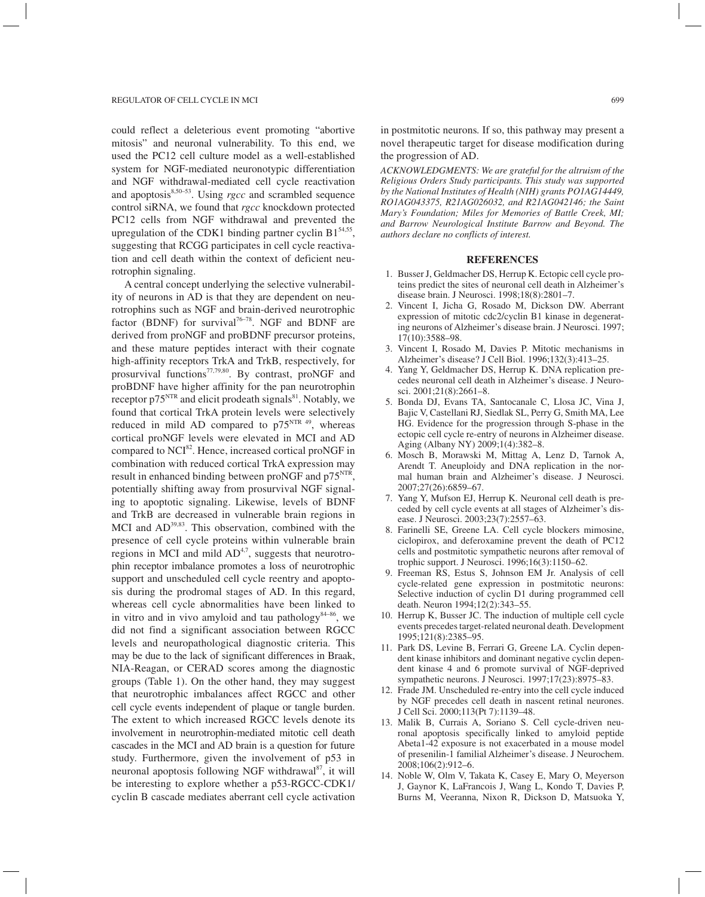could reflect a deleterious event promoting "abortive mitosis" and neuronal vulnerability. To this end, we used the PC12 cell culture model as a well-established system for NGF-mediated neuronotypic differentiation and NGF withdrawal-mediated cell cycle reactivation and apoptosis<sup>8,50-53</sup>. Using *rgcc* and scrambled sequence control siRNA, we found that *rgcc* knockdown protected PC12 cells from NGF withdrawal and prevented the upregulation of the CDK1 binding partner cyclin  $B1^{54,55}$ , suggesting that RCGG participates in cell cycle reactivation and cell death within the context of deficient neurotrophin signaling.

A central concept underlying the selective vulnerability of neurons in AD is that they are dependent on neurotrophins such as NGF and brain-derived neurotrophic factor (BDNF) for survival<sup>76-78</sup>. NGF and BDNF are derived from proNGF and proBDNF precursor proteins, and these mature peptides interact with their cognate high-affinity receptors TrkA and TrkB, respectively, for prosurvival functions<sup>77,79,80</sup>. By contrast, proNGF and proBDNF have higher affinity for the pan neurotrophin receptor  $p75<sup>NTR</sup>$  and elicit prodeath signals<sup>81</sup>. Notably, we found that cortical TrkA protein levels were selectively reduced in mild AD compared to  $p75^{NTR}$ <sup>49</sup>, whereas cortical proNGF levels were elevated in MCI and AD compared to NCI<sup>82</sup>. Hence, increased cortical proNGF in combination with reduced cortical TrkA expression may result in enhanced binding between proNGF and p75<sup>NTR</sup>, potentially shifting away from prosurvival NGF signaling to apoptotic signaling. Likewise, levels of BDNF and TrkB are decreased in vulnerable brain regions in MCI and  $AD^{39,83}$ . This observation, combined with the presence of cell cycle proteins within vulnerable brain regions in MCI and mild  $AD<sup>4,7</sup>$ , suggests that neurotrophin receptor imbalance promotes a loss of neurotrophic support and unscheduled cell cycle reentry and apoptosis during the prodromal stages of AD. In this regard, whereas cell cycle abnormalities have been linked to in vitro and in vivo amyloid and tau pathology<sup>84–86</sup>, we did not find a significant association between RGCC levels and neuropathological diagnostic criteria. This may be due to the lack of significant differences in Braak, NIA-Reagan, or CERAD scores among the diagnostic groups (Table 1). On the other hand, they may suggest that neurotrophic imbalances affect RGCC and other cell cycle events independent of plaque or tangle burden. The extent to which increased RGCC levels denote its involvement in neurotrophin-mediated mitotic cell death cascades in the MCI and AD brain is a question for future study. Furthermore, given the involvement of p53 in neuronal apoptosis following NGF withdrawal $^{87}$ , it will be interesting to explore whether a p53-RGCC-CDK1/ cyclin B cascade mediates aberrant cell cycle activation

in postmitotic neurons*.* If so, this pathway may present a novel therapeutic target for disease modification during the progression of AD.

*ACKNOWLEDGMENTS: We are grateful for the altruism of the Religious Orders Study participants. This study was supported by the National Institutes of Health (NIH) grants PO1AG14449, RO1AG043375, R21AG026032, and R21AG042146; the Saint Mary's Foundation; Miles for Memories of Battle Creek, MI; and Barrow Neurological Institute Barrow and Beyond. The authors declare no conflicts of interest.*

#### **REFERENCES**

- 1. Busser J, Geldmacher DS, Herrup K. Ectopic cell cycle proteins predict the sites of neuronal cell death in Alzheimer's disease brain. J Neurosci. 1998;18(8):2801–7.
- 2. Vincent I, Jicha G, Rosado M, Dickson DW. Aberrant expression of mitotic cdc2/cyclin B1 kinase in degenerating neurons of Alzheimer's disease brain. J Neurosci. 1997; 17(10):3588–98.
- 3. Vincent I, Rosado M, Davies P. Mitotic mechanisms in Alzheimer's disease? J Cell Biol. 1996;132(3):413–25.
- 4. Yang Y, Geldmacher DS, Herrup K. DNA replication precedes neuronal cell death in Alzheimer's disease. J Neurosci. 2001;21(8):2661–8.
- 5. Bonda DJ, Evans TA, Santocanale C, Llosa JC, Vina J, Bajic V, Castellani RJ, Siedlak SL, Perry G, Smith MA, Lee HG. Evidence for the progression through S-phase in the ectopic cell cycle re-entry of neurons in Alzheimer disease. Aging (Albany NY) 2009;1(4):382–8.
- 6. Mosch B, Morawski M, Mittag A, Lenz D, Tarnok A, Arendt T. Aneuploidy and DNA replication in the normal human brain and Alzheimer's disease. J Neurosci. 2007;27(26):6859–67.
- 7. Yang Y, Mufson EJ, Herrup K. Neuronal cell death is preceded by cell cycle events at all stages of Alzheimer's disease. J Neurosci. 2003;23(7):2557–63.
- 8. Farinelli SE, Greene LA. Cell cycle blockers mimosine, ciclopirox, and deferoxamine prevent the death of PC12 cells and postmitotic sympathetic neurons after removal of trophic support. J Neurosci. 1996;16(3):1150–62.
- 9. Freeman RS, Estus S, Johnson EM Jr. Analysis of cell cycle-related gene expression in postmitotic neurons: Selective induction of cyclin D1 during programmed cell death. Neuron 1994;12(2):343–55.
- 10. Herrup K, Busser JC. The induction of multiple cell cycle events precedes target-related neuronal death. Development 1995;121(8):2385–95.
- 11. Park DS, Levine B, Ferrari G, Greene LA. Cyclin dependent kinase inhibitors and dominant negative cyclin dependent kinase 4 and 6 promote survival of NGF-deprived sympathetic neurons. J Neurosci. 1997;17(23):8975–83.
- 12. Frade JM. Unscheduled re-entry into the cell cycle induced by NGF precedes cell death in nascent retinal neurones. J Cell Sci. 2000;113(Pt 7):1139–48.
- 13. Malik B, Currais A, Soriano S. Cell cycle-driven neuronal apoptosis specifically linked to amyloid peptide Abeta1-42 exposure is not exacerbated in a mouse model of presenilin-1 familial Alzheimer's disease. J Neurochem. 2008;106(2):912–6.
- 14. Noble W, Olm V, Takata K, Casey E, Mary O, Meyerson J, Gaynor K, LaFrancois J, Wang L, Kondo T, Davies P, Burns M, Veeranna, Nixon R, Dickson D, Matsuoka Y,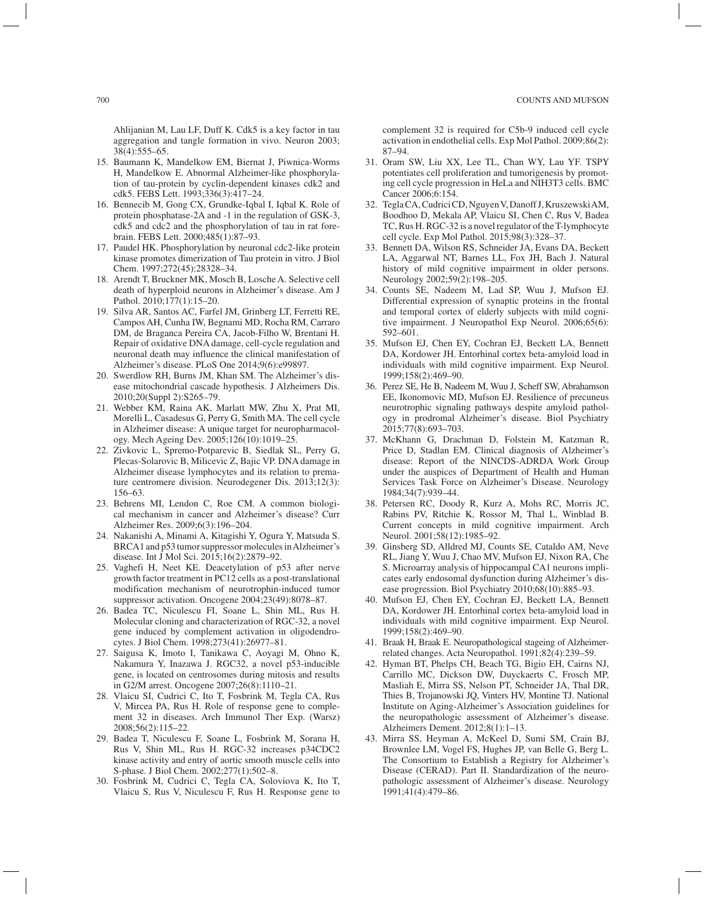Ahlijanian M, Lau LF, Duff K. Cdk5 is a key factor in tau aggregation and tangle formation in vivo. Neuron 2003; 38(4):555–65.

- 15. Baumann K, Mandelkow EM, Biernat J, Piwnica-Worms H, Mandelkow E. Abnormal Alzheimer-like phosphorylation of tau-protein by cyclin-dependent kinases cdk2 and cdk5. FEBS Lett. 1993;336(3):417–24.
- 16. Bennecib M, Gong CX, Grundke-Iqbal I, Iqbal K. Role of protein phosphatase-2A and -1 in the regulation of GSK-3, cdk5 and cdc2 and the phosphorylation of tau in rat forebrain. FEBS Lett. 2000;485(1):87–93.
- 17. Paudel HK. Phosphorylation by neuronal cdc2-like protein kinase promotes dimerization of Tau protein in vitro. J Biol Chem. 1997;272(45):28328–34.
- 18. Arendt T, Bruckner MK, Mosch B, Losche A. Selective cell death of hyperploid neurons in Alzheimer's disease. Am J Pathol. 2010;177(1):15–20.
- 19. Silva AR, Santos AC, Farfel JM, Grinberg LT, Ferretti RE, Campos AH, Cunha IW, Begnami MD, Rocha RM, Carraro DM, de Braganca Pereira CA, Jacob-Filho W, Brentani H. Repair of oxidative DNA damage, cell-cycle regulation and neuronal death may influence the clinical manifestation of Alzheimer's disease. PLoS One 2014;9(6):e99897.
- 20. Swerdlow RH, Burns JM, Khan SM. The Alzheimer's disease mitochondrial cascade hypothesis. J Alzheimers Dis. 2010;20(Suppl 2):S265–79.
- 21. Webber KM, Raina AK, Marlatt MW, Zhu X, Prat MI, Morelli L, Casadesus G, Perry G, Smith MA. The cell cycle in Alzheimer disease: A unique target for neuropharmacology. Mech Ageing Dev. 2005;126(10):1019–25.
- 22. Zivkovic L, Spremo-Potparevic B, Siedlak SL, Perry G, Plecas-Solarovic B, Milicevic Z, Bajic VP. DNA damage in Alzheimer disease lymphocytes and its relation to premature centromere division. Neurodegener Dis. 2013;12(3): 156–63.
- 23. Behrens MI, Lendon C, Roe CM. A common biological mechanism in cancer and Alzheimer's disease? Curr Alzheimer Res. 2009;6(3):196–204.
- 24. Nakanishi A, Minami A, Kitagishi Y, Ogura Y, Matsuda S. BRCA1 and p53 tumor suppressor molecules in Alzheimer's disease. Int J Mol Sci. 2015;16(2):2879–92.
- 25. Vaghefi H, Neet KE. Deacetylation of p53 after nerve growth factor treatment in PC12 cells as a post-translational modification mechanism of neurotrophin-induced tumor suppressor activation. Oncogene 2004;23(49):8078–87.
- 26. Badea TC, Niculescu FI, Soane L, Shin ML, Rus H. Molecular cloning and characterization of RGC-32, a novel gene induced by complement activation in oligodendrocytes. J Biol Chem. 1998;273(41):26977–81.
- 27. Saigusa K, Imoto I, Tanikawa C, Aoyagi M, Ohno K, Nakamura Y, Inazawa J. RGC32, a novel p53-inducible gene, is located on centrosomes during mitosis and results in G2/M arrest. Oncogene 2007;26(8):1110–21.
- 28. Vlaicu SI, Cudrici C, Ito T, Fosbrink M, Tegla CA, Rus V, Mircea PA, Rus H. Role of response gene to complement 32 in diseases. Arch Immunol Ther Exp. (Warsz) 2008;56(2):115–22.
- 29. Badea T, Niculescu F, Soane L, Fosbrink M, Sorana H, Rus V, Shin ML, Rus H. RGC-32 increases p34CDC2 kinase activity and entry of aortic smooth muscle cells into S-phase. J Biol Chem. 2002;277(1):502–8.
- 30. Fosbrink M, Cudrici C, Tegla CA, Soloviova K, Ito T, Vlaicu S, Rus V, Niculescu F, Rus H. Response gene to

complement 32 is required for C5b-9 induced cell cycle activation in endothelial cells. Exp Mol Pathol. 2009;86(2): 87–94.

- 31. Oram SW, Liu XX, Lee TL, Chan WY, Lau YF. TSPY potentiates cell proliferation and tumorigenesis by promoting cell cycle progression in HeLa and NIH3T3 cells. BMC Cancer 2006;6:154.
- 32. Tegla CA, Cudrici CD, Nguyen V, Danoff J, Kruszewski AM, Boodhoo D, Mekala AP, Vlaicu SI, Chen C, Rus V, Badea TC, Rus H. RGC-32 is a novel regulator of the T-lymphocyte cell cycle. Exp Mol Pathol. 2015;98(3):328–37.
- 33. Bennett DA, Wilson RS, Schneider JA, Evans DA, Beckett LA, Aggarwal NT, Barnes LL, Fox JH, Bach J. Natural history of mild cognitive impairment in older persons. Neurology 2002;59(2):198–205.
- 34. Counts SE, Nadeem M, Lad SP, Wuu J, Mufson EJ. Differential expression of synaptic proteins in the frontal and temporal cortex of elderly subjects with mild cognitive impairment. J Neuropathol Exp Neurol. 2006;65(6): 592–601.
- 35. Mufson EJ, Chen EY, Cochran EJ, Beckett LA, Bennett DA, Kordower JH. Entorhinal cortex beta-amyloid load in individuals with mild cognitive impairment. Exp Neurol. 1999;158(2):469–90.
- 36. Perez SE, He B, Nadeem M, Wuu J, Scheff SW, Abrahamson EE, Ikonomovic MD, Mufson EJ. Resilience of precuneus neurotrophic signaling pathways despite amyloid pathology in prodromal Alzheimer's disease. Biol Psychiatry 2015;77(8):693–703.
- 37. McKhann G, Drachman D, Folstein M, Katzman R, Price D, Stadlan EM. Clinical diagnosis of Alzheimer's disease: Report of the NINCDS-ADRDA Work Group under the auspices of Department of Health and Human Services Task Force on Alzheimer's Disease. Neurology 1984;34(7):939–44.
- 38. Petersen RC, Doody R, Kurz A, Mohs RC, Morris JC, Rabins PV, Ritchie K, Rossor M, Thal L, Winblad B. Current concepts in mild cognitive impairment. Arch Neurol. 2001;58(12):1985–92.
- 39. Ginsberg SD, Alldred MJ, Counts SE, Cataldo AM, Neve RL, Jiang Y, Wuu J, Chao MV, Mufson EJ, Nixon RA, Che S. Microarray analysis of hippocampal CA1 neurons implicates early endosomal dysfunction during Alzheimer's disease progression. Biol Psychiatry 2010;68(10):885–93.
- 40. Mufson EJ, Chen EY, Cochran EJ, Beckett LA, Bennett DA, Kordower JH. Entorhinal cortex beta-amyloid load in individuals with mild cognitive impairment. Exp Neurol. 1999;158(2):469–90.
- 41. Braak H, Braak E. Neuropathological stageing of Alzheimerrelated changes. Acta Neuropathol. 1991;82(4):239–59.
- 42. Hyman BT, Phelps CH, Beach TG, Bigio EH, Cairns NJ, Carrillo MC, Dickson DW, Duyckaerts C, Frosch MP, Masliah E, Mirra SS, Nelson PT, Schneider JA, Thal DR, Thies B, Trojanowski JQ, Vinters HV, Montine TJ. National Institute on Aging-Alzheimer's Association guidelines for the neuropathologic assessment of Alzheimer's disease. Alzheimers Dement. 2012;8(1):1–13.
- 43. Mirra SS, Heyman A, McKeel D, Sumi SM, Crain BJ, Brownlee LM, Vogel FS, Hughes JP, van Belle G, Berg L. The Consortium to Establish a Registry for Alzheimer's Disease (CERAD). Part II. Standardization of the neuropathologic assessment of Alzheimer's disease. Neurology 1991;41(4):479–86.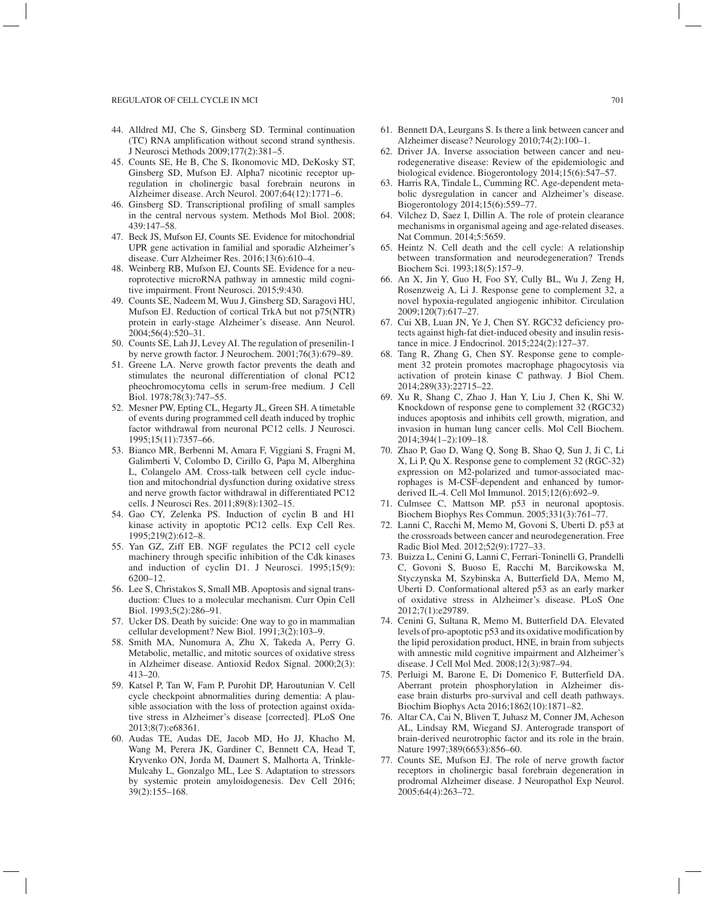- 44. Alldred MJ, Che S, Ginsberg SD. Terminal continuation (TC) RNA amplification without second strand synthesis. J Neurosci Methods 2009;177(2):381–5.
- 45. Counts SE, He B, Che S, Ikonomovic MD, DeKosky ST, Ginsberg SD, Mufson EJ. Alpha7 nicotinic receptor upregulation in cholinergic basal forebrain neurons in Alzheimer disease. Arch Neurol. 2007;64(12):1771–6.
- 46. Ginsberg SD. Transcriptional profiling of small samples in the central nervous system. Methods Mol Biol. 2008; 439:147–58.
- 47. Beck JS, Mufson EJ, Counts SE. Evidence for mitochondrial UPR gene activation in familial and sporadic Alzheimer's disease. Curr Alzheimer Res. 2016;13(6):610–4.
- 48. Weinberg RB, Mufson EJ, Counts SE. Evidence for a neuroprotective microRNA pathway in amnestic mild cognitive impairment. Front Neurosci. 2015;9:430.
- 49. Counts SE, Nadeem M, Wuu J, Ginsberg SD, Saragovi HU, Mufson EJ. Reduction of cortical TrkA but not p75(NTR) protein in early-stage Alzheimer's disease. Ann Neurol. 2004;56(4):520–31.
- 50. Counts SE, Lah JJ, Levey AI. The regulation of presenilin-1 by nerve growth factor. J Neurochem. 2001;76(3):679–89.
- 51. Greene LA. Nerve growth factor prevents the death and stimulates the neuronal differentiation of clonal PC12 pheochromocytoma cells in serum-free medium. J Cell Biol. 1978;78(3):747–55.
- 52. Mesner PW, Epting CL, Hegarty JL, Green SH. A timetable of events during programmed cell death induced by trophic factor withdrawal from neuronal PC12 cells. J Neurosci. 1995;15(11):7357–66.
- 53. Bianco MR, Berbenni M, Amara F, Viggiani S, Fragni M, Galimberti V, Colombo D, Cirillo G, Papa M, Alberghina L, Colangelo AM. Cross-talk between cell cycle induction and mitochondrial dysfunction during oxidative stress and nerve growth factor withdrawal in differentiated PC12 cells. J Neurosci Res. 2011;89(8):1302–15.
- 54. Gao CY, Zelenka PS. Induction of cyclin B and H1 kinase activity in apoptotic PC12 cells. Exp Cell Res. 1995;219(2):612–8.
- 55. Yan GZ, Ziff EB. NGF regulates the PC12 cell cycle machinery through specific inhibition of the Cdk kinases and induction of cyclin D1. J Neurosci. 1995;15(9): 6200–12.
- 56. Lee S, Christakos S, Small MB. Apoptosis and signal transduction: Clues to a molecular mechanism. Curr Opin Cell Biol. 1993;5(2):286–91.
- 57. Ucker DS. Death by suicide: One way to go in mammalian cellular development? New Biol. 1991;3(2):103–9.
- 58. Smith MA, Nunomura A, Zhu X, Takeda A, Perry G. Metabolic, metallic, and mitotic sources of oxidative stress in Alzheimer disease. Antioxid Redox Signal. 2000;2(3): 413–20.
- 59. Katsel P, Tan W, Fam P, Purohit DP, Haroutunian V. Cell cycle checkpoint abnormalities during dementia: A plausible association with the loss of protection against oxidative stress in Alzheimer's disease [corrected]. PLoS One 2013;8(7):e68361.
- 60. Audas TE, Audas DE, Jacob MD, Ho JJ, Khacho M, Wang M, Perera JK, Gardiner C, Bennett CA, Head T, Kryvenko ON, Jorda M, Daunert S, Malhorta A, Trinkle-Mulcahy L, Gonzalgo ML, Lee S. Adaptation to stressors by systemic protein amyloidogenesis. Dev Cell 2016; 39(2):155–168.
- 61. Bennett DA, Leurgans S. Is there a link between cancer and Alzheimer disease? Neurology 2010;74(2):100–1.
- 62. Driver JA. Inverse association between cancer and neurodegenerative disease: Review of the epidemiologic and biological evidence. Biogerontology 2014;15(6):547–57.
- 63. Harris RA, Tindale L, Cumming RC. Age-dependent metabolic dysregulation in cancer and Alzheimer's disease. Biogerontology 2014;15(6):559–77.
- 64. Vilchez D, Saez I, Dillin A. The role of protein clearance mechanisms in organismal ageing and age-related diseases. Nat Commun. 2014;5:5659.
- 65. Heintz N. Cell death and the cell cycle: A relationship between transformation and neurodegeneration? Trends Biochem Sci. 1993;18(5):157–9.
- 66. An X, Jin Y, Guo H, Foo SY, Cully BL, Wu J, Zeng H, Rosenzweig A, Li J. Response gene to complement 32, a novel hypoxia-regulated angiogenic inhibitor. Circulation 2009;120(7):617–27.
- 67. Cui XB, Luan JN, Ye J, Chen SY. RGC32 deficiency protects against high-fat diet-induced obesity and insulin resistance in mice. J Endocrinol. 2015;224(2):127–37.
- 68. Tang R, Zhang G, Chen SY. Response gene to complement 32 protein promotes macrophage phagocytosis via activation of protein kinase C pathway. J Biol Chem. 2014;289(33):22715–22.
- 69. Xu R, Shang C, Zhao J, Han Y, Liu J, Chen K, Shi W. Knockdown of response gene to complement 32 (RGC32) induces apoptosis and inhibits cell growth, migration, and invasion in human lung cancer cells. Mol Cell Biochem. 2014;394(1–2):109–18.
- 70. Zhao P, Gao D, Wang Q, Song B, Shao Q, Sun J, Ji C, Li X, Li P, Qu X. Response gene to complement 32 (RGC-32) expression on M2-polarized and tumor-associated macrophages is M-CSF-dependent and enhanced by tumorderived IL-4. Cell Mol Immunol. 2015;12(6):692–9.
- 71. Culmsee C, Mattson MP. p53 in neuronal apoptosis. Biochem Biophys Res Commun. 2005;331(3):761–77.
- 72. Lanni C, Racchi M, Memo M, Govoni S, Uberti D. p53 at the crossroads between cancer and neurodegeneration. Free Radic Biol Med. 2012;52(9):1727–33.
- 73. Buizza L, Cenini G, Lanni C, Ferrari-Toninelli G, Prandelli C, Govoni S, Buoso E, Racchi M, Barcikowska M, Styczynska M, Szybinska A, Butterfield DA, Memo M, Uberti D. Conformational altered p53 as an early marker of oxidative stress in Alzheimer's disease. PLoS One 2012;7(1):e29789.
- 74. Cenini G, Sultana R, Memo M, Butterfield DA. Elevated levels of pro-apoptotic p53 and its oxidative modification by the lipid peroxidation product, HNE, in brain from subjects with amnestic mild cognitive impairment and Alzheimer's disease. J Cell Mol Med. 2008;12(3):987–94.
- 75. Perluigi M, Barone E, Di Domenico F, Butterfield DA. Aberrant protein phosphorylation in Alzheimer disease brain disturbs pro-survival and cell death pathways. Biochim Biophys Acta 2016;1862(10):1871–82.
- 76. Altar CA, Cai N, Bliven T, Juhasz M, Conner JM, Acheson AL, Lindsay RM, Wiegand SJ. Anterograde transport of brain-derived neurotrophic factor and its role in the brain. Nature 1997;389(6653):856–60.
- 77. Counts SE, Mufson EJ. The role of nerve growth factor receptors in cholinergic basal forebrain degeneration in prodromal Alzheimer disease. J Neuropathol Exp Neurol. 2005;64(4):263–72.